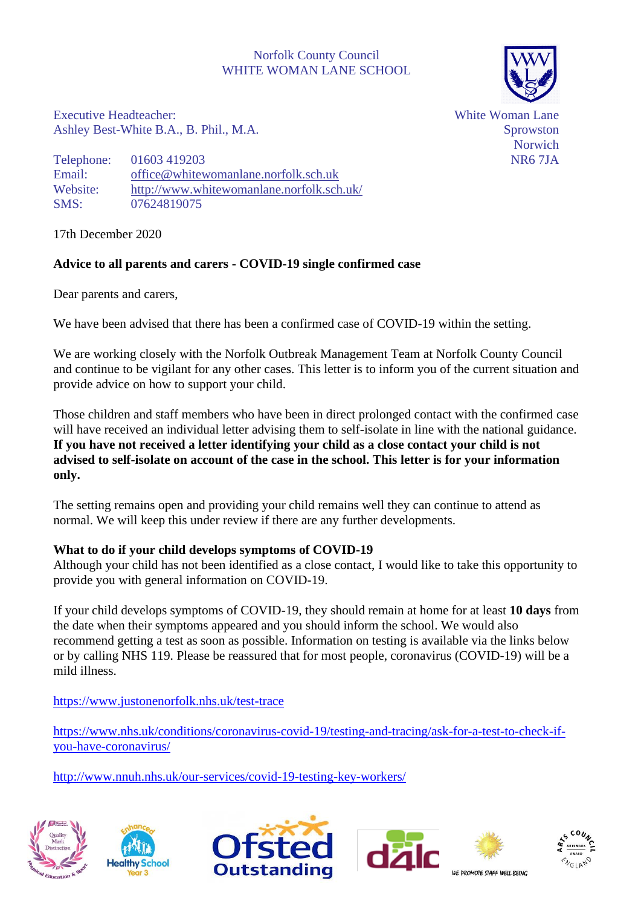# Norfolk County Council WHITE WOMAN LANE SCHOOL



Executive Headteacher: Ashley Best-White B.A., B. Phil., M.A. White Woman Lane Sprowston Norwich NR6 7JA

Telephone: 01603 419203 Email: [office@whitewomanlane.norfolk.sch.uk](mailto:office@whitewomanlane.norfolk.sch.uk) Website: <http://www.whitewomanlane.norfolk.sch.uk/> SMS: 07624819075

17th December 2020

# **Advice to all parents and carers - COVID-19 single confirmed case**

Dear parents and carers,

We have been advised that there has been a confirmed case of COVID-19 within the setting.

We are working closely with the Norfolk Outbreak Management Team at Norfolk County Council and continue to be vigilant for any other cases. This letter is to inform you of the current situation and provide advice on how to support your child.

Those children and staff members who have been in direct prolonged contact with the confirmed case will have received an individual letter advising them to self-isolate in line with the national guidance. **If you have not received a letter identifying your child as a close contact your child is not advised to self-isolate on account of the case in the school. This letter is for your information only.**

The setting remains open and providing your child remains well they can continue to attend as normal. We will keep this under review if there are any further developments.

## **What to do if your child develops symptoms of COVID-19**

Although your child has not been identified as a close contact, I would like to take this opportunity to provide you with general information on COVID-19.

If your child develops symptoms of COVID-19, they should remain at home for at least **10 days** from the date when their symptoms appeared and you should inform the school. We would also recommend getting a test as soon as possible. Information on testing is available via the links below or by calling NHS 119. Please be reassured that for most people, coronavirus (COVID-19) will be a mild illness.

<https://www.justonenorfolk.nhs.uk/test-trace>

[https://www.nhs.uk/conditions/coronavirus-covid-19/testing-and-tracing/ask-for-a-test-to-check-if](https://www.nhs.uk/conditions/coronavirus-covid-19/testing-and-tracing/ask-for-a-test-to-check-if-you-have-coronavirus/)[you-have-coronavirus/](https://www.nhs.uk/conditions/coronavirus-covid-19/testing-and-tracing/ask-for-a-test-to-check-if-you-have-coronavirus/)

<http://www.nnuh.nhs.uk/our-services/covid-19-testing-key-workers/>









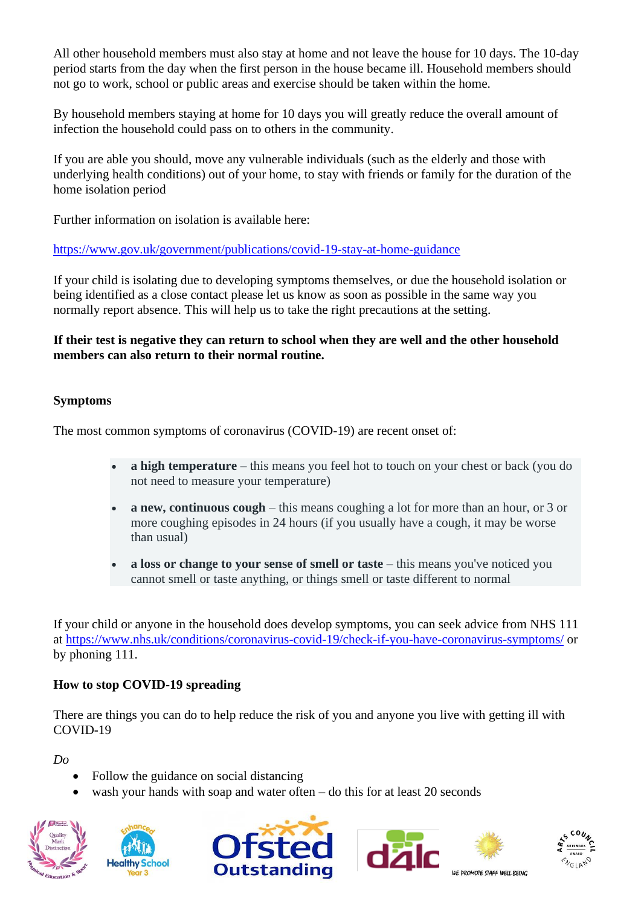All other household members must also stay at home and not leave the house for 10 days. The 10-day period starts from the day when the first person in the house became ill. Household members should not go to work, school or public areas and exercise should be taken within the home.

By household members staying at home for 10 days you will greatly reduce the overall amount of infection the household could pass on to others in the community.

If you are able you should, move any vulnerable individuals (such as the elderly and those with underlying health conditions) out of your home, to stay with friends or family for the duration of the home isolation period

Further information on isolation is available here:

# <https://www.gov.uk/government/publications/covid-19-stay-at-home-guidance>

If your child is isolating due to developing symptoms themselves, or due the household isolation or being identified as a close contact please let us know as soon as possible in the same way you normally report absence. This will help us to take the right precautions at the setting.

## **If their test is negative they can return to school when they are well and the other household members can also return to their normal routine.**

## **Symptoms**

The most common symptoms of coronavirus (COVID-19) are recent onset of:

- **a high temperature** this means you feel hot to touch on your chest or back (you do not need to measure your temperature)
- **a new, continuous cough** this means coughing a lot for more than an hour, or 3 or more coughing episodes in 24 hours (if you usually have a cough, it may be worse than usual)
- **a loss or change to your sense of smell or taste** this means you've noticed you cannot smell or taste anything, or things smell or taste different to normal

If your child or anyone in the household does develop symptoms, you can seek advice from NHS 111 at<https://www.nhs.uk/conditions/coronavirus-covid-19/check-if-you-have-coronavirus-symptoms/> or by phoning 111.

## **How to stop COVID-19 spreading**

There are things you can do to help reduce the risk of you and anyone you live with getting ill with COVID-19

*Do*

- Follow the guidance on social distancing
- wash your hands with soap and water often  $-$  do this for at least 20 seconds











WE DROMOTE STAFF WELL REING